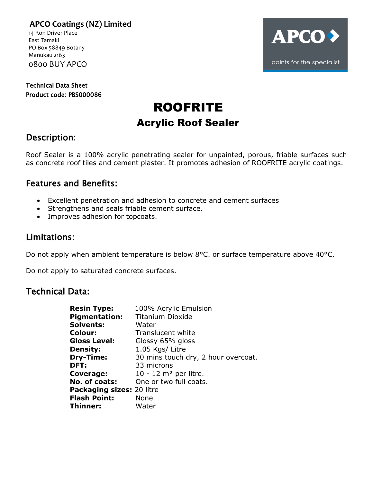**APCO Coatings (NZ) Limited** 14 Ron Driver Place

 East Tamaki PO Box 58849 Botany Manukau 2163 0800 BUY APCO

Technical Data Sheet Product code: PBS000086

# **APCO** paints for the specialist

# ROOFRITE Acrylic Roof Sealer

## Description:

Roof Sealer is a 100% acrylic penetrating sealer for unpainted, porous, friable surfaces such as concrete roof tiles and cement plaster. It promotes adhesion of ROOFRITE acrylic coatings.

## Features and Benefits:

- Excellent penetration and adhesion to concrete and cement surfaces
- Strengthens and seals friable cement surface.
- Improves adhesion for topcoats.

## Limitations:

Do not apply when ambient temperature is below 8°C. or surface temperature above 40°C.

Do not apply to saturated concrete surfaces.

#### Technical Data:

| <b>Resin Type:</b>        | 100% Acrylic Emulsion               |
|---------------------------|-------------------------------------|
| <b>Pigmentation:</b>      | <b>Titanium Dioxide</b>             |
| <b>Solvents:</b>          | Water                               |
| <b>Colour:</b>            | Translucent white                   |
| <b>Gloss Level:</b>       | Glossy 65% gloss                    |
| <b>Density:</b>           | 1.05 Kgs/ Litre                     |
| Dry-Time:                 | 30 mins touch dry, 2 hour overcoat. |
| DFT:                      | 33 microns                          |
| Coverage:                 | $10 - 12$ m <sup>2</sup> per litre. |
| No. of coats:             | One or two full coats.              |
| Packaging sizes: 20 litre |                                     |
| <b>Flash Point:</b>       | None                                |
| Thinner:                  | Water                               |